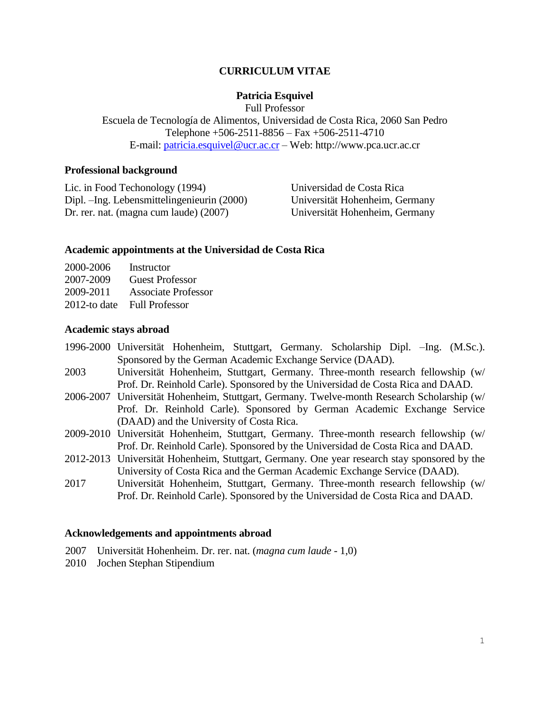# **CURRICULUM VITAE**

## **Patricia Esquivel**

Full Professor

Escuela de Tecnología de Alimentos, Universidad de Costa Rica, 2060 San Pedro Telephone +506-2511-8856 – Fax +506-2511-4710 E-mail: [patricia.esquivel@ucr.ac.cr](mailto:patricia.esquivel@ucr.ac.cr) – Web: http://www.pca.ucr.ac.cr

#### **Professional background**

Lic. in Food Techonology (1994) Universidad de Costa Rica Dipl. –Ing. Lebensmittelingenieurin (2000) Universität Hohenheim, Germany Dr. rer. nat. (magna cum laude) (2007) Universität Hohenheim, Germany

#### **Academic appointments at the Universidad de Costa Rica**

| 2000-2006       | Instructor                 |
|-----------------|----------------------------|
| 2007-2009       | <b>Guest Professor</b>     |
| 2009-2011       | <b>Associate Professor</b> |
| $2012$ -to date | <b>Full Professor</b>      |

#### **Academic stays abroad**

- 1996-2000 Universität Hohenheim, Stuttgart, Germany. Scholarship Dipl. –Ing. (M.Sc.). Sponsored by the German Academic Exchange Service (DAAD).
- 2003 Universität Hohenheim, Stuttgart, Germany. Three-month research fellowship (w/ Prof. Dr. Reinhold Carle). Sponsored by the Universidad de Costa Rica and DAAD.
- 2006-2007 Universität Hohenheim, Stuttgart, Germany. Twelve-month Research Scholarship (w/ Prof. Dr. Reinhold Carle). Sponsored by German Academic Exchange Service (DAAD) and the University of Costa Rica.
- 2009-2010 Universität Hohenheim, Stuttgart, Germany. Three-month research fellowship (w/ Prof. Dr. Reinhold Carle). Sponsored by the Universidad de Costa Rica and DAAD.
- 2012-2013 Universität Hohenheim, Stuttgart, Germany. One year research stay sponsored by the University of Costa Rica and the German Academic Exchange Service (DAAD).
- 2017 Universität Hohenheim, Stuttgart, Germany. Three-month research fellowship (w/ Prof. Dr. Reinhold Carle). Sponsored by the Universidad de Costa Rica and DAAD.

### **Acknowledgements and appointments abroad**

- 2007 Universität Hohenheim. Dr. rer. nat. (*magna cum laude* 1,0)
- 2010 Jochen Stephan Stipendium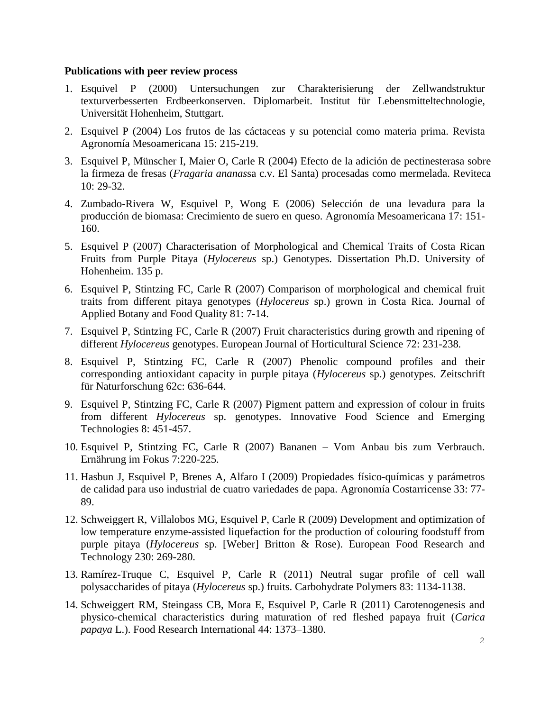### **Publications with peer review process**

- 1. Esquivel P (2000) Untersuchungen zur Charakterisierung der Zellwandstruktur texturverbesserten Erdbeerkonserven. Diplomarbeit. Institut für Lebensmitteltechnologie, Universität Hohenheim, Stuttgart.
- 2. Esquivel P (2004) Los frutos de las cáctaceas y su potencial como materia prima. Revista Agronomía Mesoamericana 15: 215-219.
- 3. Esquivel P, Münscher I, Maier O, Carle R (2004) Efecto de la adición de pectinesterasa sobre la firmeza de fresas (*Fragaria ananas*sa c.v. El Santa) procesadas como mermelada. Reviteca 10: 29-32.
- 4. Zumbado-Rivera W, Esquivel P, Wong E (2006) Selección de una levadura para la producción de biomasa: Crecimiento de suero en queso. Agronomía Mesoamericana 17: 151- 160.
- 5. Esquivel P (2007) Characterisation of Morphological and Chemical Traits of Costa Rican Fruits from Purple Pitaya (*Hylocereus* sp.) Genotypes. Dissertation Ph.D. University of Hohenheim. 135 p.
- 6. Esquivel P, Stintzing FC, Carle R (2007) Comparison of morphological and chemical fruit traits from different pitaya genotypes (*Hylocereus* sp.) grown in Costa Rica. Journal of Applied Botany and Food Quality 81: 7-14.
- 7. Esquivel P, Stintzing FC, Carle R (2007) Fruit characteristics during growth and ripening of different *Hylocereus* genotypes. European Journal of Horticultural Science 72: 231-238*.*
- 8. Esquivel P, Stintzing FC, Carle R (2007) Phenolic compound profiles and their corresponding antioxidant capacity in purple pitaya (*Hylocereus* sp.) genotypes. Zeitschrift für Naturforschung 62c: 636-644.
- 9. Esquivel P, Stintzing FC, Carle R (2007) Pigment pattern and expression of colour in fruits from different *Hylocereus* sp. genotypes. Innovative Food Science and Emerging Technologies 8: 451-457.
- 10. Esquivel P, Stintzing FC, Carle R (2007) Bananen Vom Anbau bis zum Verbrauch. Ernährung im Fokus 7:220-225.
- 11. Hasbun J, Esquivel P, Brenes A, Alfaro I (2009) Propiedades físico-químicas y parámetros de calidad para uso industrial de cuatro variedades de papa. Agronomía Costarricense 33: 77- 89.
- 12. Schweiggert R, Villalobos MG, Esquivel P, Carle R (2009) Development and optimization of low temperature enzyme-assisted liquefaction for the production of colouring foodstuff from purple pitaya (*Hylocereus* sp. [Weber] Britton & Rose). European Food Research and Technology 230: 269-280.
- 13. Ramírez-Truque C, Esquivel P, Carle R (2011) Neutral sugar profile of cell wall polysaccharides of pitaya (*Hylocereus* sp.) fruits. Carbohydrate Polymers 83: 1134-1138.
- 14. Schweiggert RM, Steingass CB, Mora E, Esquivel P, Carle R (2011) Carotenogenesis and physico-chemical characteristics during maturation of red fleshed papaya fruit (*Carica papaya* L.). Food Research International 44: 1373–1380.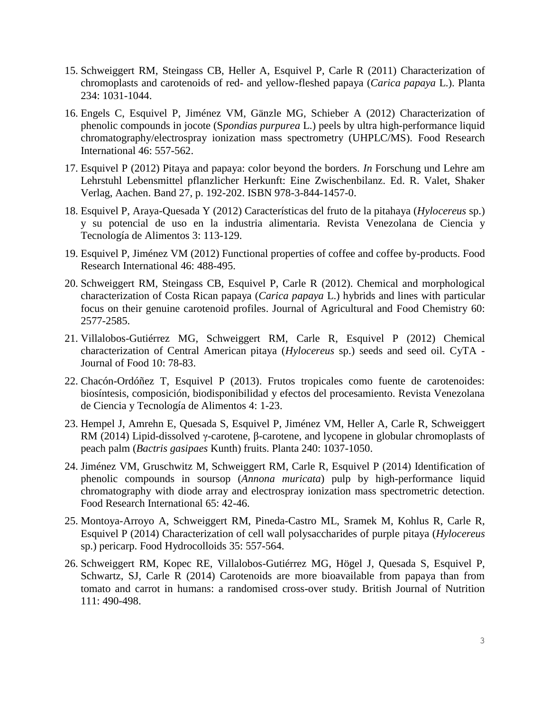- 15. Schweiggert RM, Steingass CB, Heller A, Esquivel P, Carle R (2011) Characterization of chromoplasts and carotenoids of red- and yellow-fleshed papaya (*Carica papaya* L.). Planta 234: 1031-1044.
- 16. Engels C, Esquivel P, Jiménez VM, Gänzle MG, Schieber A (2012) Characterization of phenolic compounds in jocote (S*pondias purpurea* L.) peels by ultra high-performance liquid chromatography/electrospray ionization mass spectrometry (UHPLC/MS). Food Research International 46: 557-562.
- 17. Esquivel P (2012) Pitaya and papaya: color beyond the borders. *In* Forschung und Lehre am Lehrstuhl Lebensmittel pflanzlicher Herkunft: Eine Zwischenbilanz. Ed. R. Valet, Shaker Verlag, Aachen. Band 27, p. 192-202. ISBN 978-3-844-1457-0.
- 18. Esquivel P, Araya-Quesada Y (2012) Características del fruto de la pitahaya (*Hylocereus* sp.) y su potencial de uso en la industria alimentaria. Revista Venezolana de Ciencia y Tecnología de Alimentos 3: 113-129.
- 19. Esquivel P, Jiménez VM (2012) Functional properties of coffee and coffee by-products. Food Research International 46: 488-495.
- 20. Schweiggert RM, Steingass CB, Esquivel P, Carle R (2012). Chemical and morphological characterization of Costa Rican papaya (*Carica papaya* L.) hybrids and lines with particular focus on their genuine carotenoid profiles. Journal of Agricultural and Food Chemistry 60: 2577-2585.
- 21. Villalobos-Gutiérrez MG, Schweiggert RM, Carle R, Esquivel P (2012) Chemical characterization of Central American pitaya (*Hylocereus* sp.) seeds and seed oil. CyTA - Journal of Food 10: 78-83.
- 22. Chacón-Ordóñez T, Esquivel P (2013). Frutos tropicales como fuente de carotenoides: biosíntesis, composición, biodisponibilidad y efectos del procesamiento. Revista Venezolana de Ciencia y Tecnología de Alimentos 4: 1-23.
- 23. Hempel J, Amrehn E, Quesada S, Esquivel P, Jiménez VM, Heller A, Carle R, Schweiggert RM (2014) Lipid-dissolved γ-carotene, β-carotene, and lycopene in globular chromoplasts of peach palm (*Bactris gasipaes* Kunth) fruits. Planta 240: 1037-1050.
- 24. Jiménez VM, Gruschwitz M, Schweiggert RM, Carle R, Esquivel P (2014) Identification of phenolic compounds in soursop (*Annona muricata*) pulp by high-performance liquid chromatography with diode array and electrospray ionization mass spectrometric detection. Food Research International [65: 42-46.](http://www.sciencedirect.com/science/article/pii/S0963996914003664)
- 25. Montoya-Arroyo A, Schweiggert RM, Pineda-Castro ML, Sramek M, Kohlus R, Carle R, Esquivel P (2014) Characterization of cell wall polysaccharides of purple pitaya (*Hylocereus* sp.) pericarp. Food Hydrocolloids 35: 557-564.
- 26. Schweiggert RM, Kopec RE, Villalobos-Gutiérrez MG, Högel J, Quesada S, Esquivel P, Schwartz, SJ, Carle R (2014) Carotenoids are more bioavailable from papaya than from tomato and carrot in humans: a randomised cross-over study. British Journal of Nutrition 111: 490-498.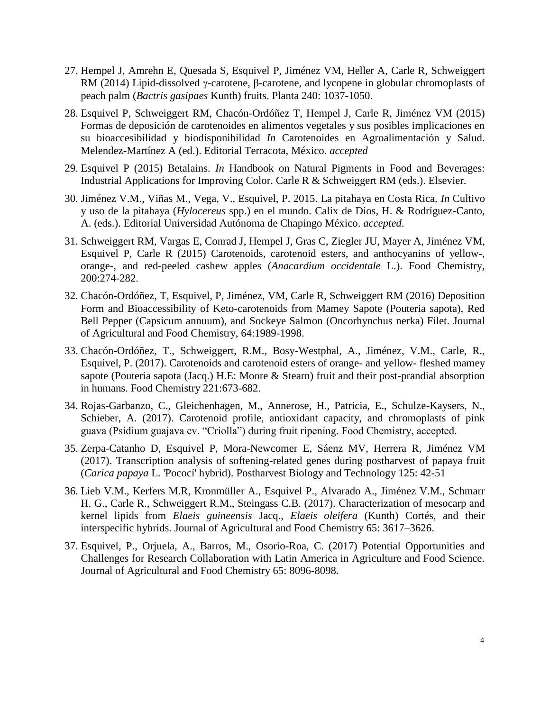- 27. Hempel J, Amrehn E, Quesada S, Esquivel P, Jiménez VM, Heller A, Carle R, Schweiggert RM (2014) Lipid-dissolved γ-carotene, β-carotene, and lycopene in globular chromoplasts of peach palm (*Bactris gasipaes* Kunth) fruits. Planta 240: 1037-1050.
- 28. Esquivel P, Schweiggert RM, Chacón-Ordóñez T, Hempel J, Carle R, Jiménez VM (2015) Formas de deposición de carotenoides en alimentos vegetales y sus posibles implicaciones en su bioaccesibilidad y biodisponibilidad *In* Carotenoides en Agroalimentación y Salud. Melendez-Martínez A (ed.). Editorial Terracota, México. *accepted*
- 29. Esquivel P (2015) Betalains. *In* Handbook on Natural Pigments in Food and Beverages: Industrial Applications for Improving Color. Carle R & Schweiggert RM (eds.). Elsevier.
- 30. Jiménez V.M., Viñas M., Vega, V., Esquivel, P. 2015. La pitahaya en Costa Rica. *In* Cultivo y uso de la pitahaya (*Hylocereus* spp.) en el mundo. Calix de Dios, H. & Rodríguez-Canto, A. (eds.). Editorial Universidad Autónoma de Chapingo México. *accepted*.
- 31. Schweiggert RM, Vargas E, Conrad J, Hempel J, Gras C, Ziegler JU, Mayer A, Jiménez VM, Esquivel P, Carle R (2015) Carotenoids, carotenoid esters, and anthocyanins of yellow-, orange-, and red-peeled cashew apples (*Anacardium occidentale* L.). Food Chemistry, 200:274-282.
- 32. Chacón-Ordóñez, T, Esquivel, P, Jiménez, VM, Carle R, Schweiggert RM (2016) [Deposition](https://www.scopus.com/record/display.uri?eid=2-s2.0-84960357989&origin=resultslist&sort=plf-f&src=s&sid=C2358455A53AAE89D5CE24208FE4CE45.CnvicAmOODVwpVrjSeqQ%3a70&sot=autdocs&sdt=autdocs&sl=18&s=AU-ID%2855929030100%29&relpos=2&citeCnt=0&searchTerm=)  [Form and Bioaccessibility of Keto-carotenoids from Mamey Sapote \(Pouteria sapota\), Red](https://www.scopus.com/record/display.uri?eid=2-s2.0-84960357989&origin=resultslist&sort=plf-f&src=s&sid=C2358455A53AAE89D5CE24208FE4CE45.CnvicAmOODVwpVrjSeqQ%3a70&sot=autdocs&sdt=autdocs&sl=18&s=AU-ID%2855929030100%29&relpos=2&citeCnt=0&searchTerm=)  [Bell Pepper \(Capsicum annuum\), and Sockeye Salmon \(Oncorhynchus nerka\) Filet.](https://www.scopus.com/record/display.uri?eid=2-s2.0-84960357989&origin=resultslist&sort=plf-f&src=s&sid=C2358455A53AAE89D5CE24208FE4CE45.CnvicAmOODVwpVrjSeqQ%3a70&sot=autdocs&sdt=autdocs&sl=18&s=AU-ID%2855929030100%29&relpos=2&citeCnt=0&searchTerm=) Journal of Agricultural and Food Chemistry, 64:1989-1998.
- 33. Chacón-Ordóñez, T., Schweiggert, R.M., Bosy-Westphal, A., Jiménez, V.M., Carle, R., Esquivel, P. (2017). Carotenoids and carotenoid esters of orange- and yellow- fleshed mamey sapote (Pouteria sapota (Jacq.) H.E: Moore & Stearn) fruit and their post-prandial absorption in humans. Food Chemistry 221:673-682.
- 34. Rojas-Garbanzo, C., Gleichenhagen, M., Annerose, H., Patricia, E., Schulze-Kaysers, N., Schieber, A. (2017). Carotenoid profile, antioxidant capacity, and chromoplasts of pink guava (Psidium guajava cv. "Criolla") during fruit ripening. Food Chemistry, accepted.
- 35. Zerpa-Catanho D, Esquivel P, Mora-Newcomer E, Sáenz MV, Herrera R, Jiménez VM (2017). Transcription analysis of softening-related genes during postharvest of papaya fruit (*Carica papaya* L. 'Pococí' hybrid). [Postharvest Biology and Technology 125: 42-51](http://www.sciencedirect.com/science/article/pii/S0925521416305336)
- 36. Lieb V.M., Kerfers M.R, Kronmüller A., Esquivel P., Alvarado A., Jiménez V.M., Schmarr H. G., Carle R., Schweiggert R.M., Steingass C.B. (2017). Characterization of mesocarp and kernel lipids from *Elaeis guineensis* Jacq., *Elaeis oleifera* (Kunth) Cortés, and their interspecific hybrids. [Journal of Agricultural and Food Chemistry 65: 3617–3626.](http://pubs.acs.org/doi/abs/10.1021/acs.jafc.7b00604)
- 37. Esquivel, P., Orjuela, A., Barros, M., Osorio-Roa, C. (2017) Potential Opportunities and Challenges for Research Collaboration with Latin America in Agriculture and Food Science. Journal of Agricultural and Food Chemistry 65: 8096-8098.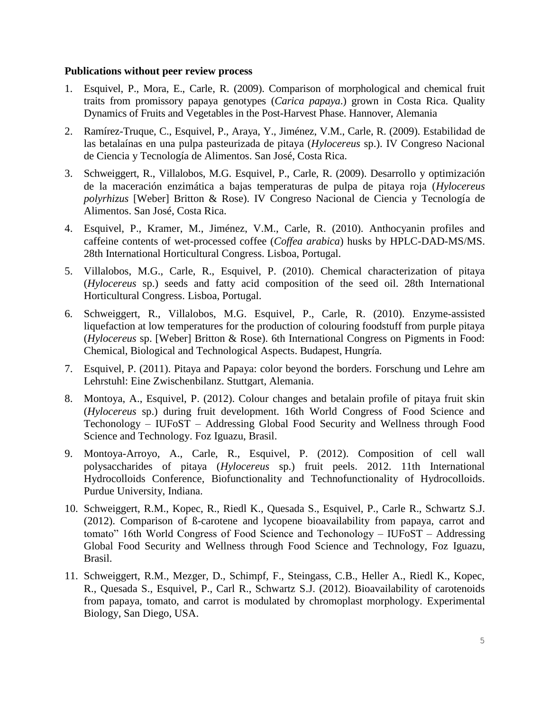### **Publications without peer review process**

- 1. Esquivel, P., Mora, E., Carle, R. (2009). Comparison of morphological and chemical fruit traits from promissory papaya genotypes (*Carica papaya*.) grown in Costa Rica. Quality Dynamics of Fruits and Vegetables in the Post-Harvest Phase. Hannover, Alemania
- 2. Ramírez-Truque, C., Esquivel, P., Araya, Y., Jiménez, V.M., Carle, R. (2009). Estabilidad de las betalaínas en una pulpa pasteurizada de pitaya (*Hylocereus* sp.). IV Congreso Nacional de Ciencia y Tecnología de Alimentos. San José, Costa Rica.
- 3. Schweiggert, R., Villalobos, M.G. Esquivel, P., Carle, R. (2009). Desarrollo y optimización de la maceración enzimática a bajas temperaturas de pulpa de pitaya roja (*Hylocereus polyrhizus* [Weber] Britton & Rose). IV Congreso Nacional de Ciencia y Tecnología de Alimentos. San José, Costa Rica.
- 4. Esquivel, P., Kramer, M., Jiménez, V.M., Carle, R. (2010). Anthocyanin profiles and caffeine contents of wet-processed coffee (*Coffea arabica*) husks by HPLC-DAD-MS/MS. 28th International Horticultural Congress. Lisboa, Portugal.
- 5. Villalobos, M.G., Carle, R., Esquivel, P. (2010). Chemical characterization of pitaya (*Hylocereus* sp.) seeds and fatty acid composition of the seed oil. 28th International Horticultural Congress. Lisboa, Portugal.
- 6. Schweiggert, R., Villalobos, M.G. Esquivel, P., Carle, R. (2010). Enzyme-assisted liquefaction at low temperatures for the production of colouring foodstuff from purple pitaya (*Hylocereus* sp. [Weber] Britton & Rose). [6th International Congress on Pigments in Food:](http://konferenciakalauz.hu/konferenciak/7494-6th-international-congress-on-pigments-in-food-chemical-biological-and-technological-aspects)  [Chemical, Biological and Technological Aspects.](http://konferenciakalauz.hu/konferenciak/7494-6th-international-congress-on-pigments-in-food-chemical-biological-and-technological-aspects) Budapest, Hungría.
- 7. Esquivel, P. (2011). Pitaya and Papaya: color beyond the borders. Forschung und Lehre am Lehrstuhl: Eine Zwischenbilanz. Stuttgart, Alemania.
- 8. Montoya, A., Esquivel, P. (2012). Colour changes and betalain profile of pitaya fruit skin (*Hylocereus* sp.) during fruit development. 16th World Congress of Food Science and Techonology – IUFoST – Addressing Global Food Security and Wellness through Food Science and Technology. Foz Iguazu, Brasil.
- 9. Montoya-Arroyo, A., Carle, R., Esquivel, P. (2012). Composition of cell wall polysaccharides of pitaya (*Hylocereus* sp.) fruit peels. 2012. 11th International Hydrocolloids Conference, Biofunctionality and Technofunctionality of Hydrocolloids. Purdue University, Indiana.
- 10. Schweiggert, R.M., Kopec, R., Riedl K., Quesada S., Esquivel, P., Carle R., Schwartz S.J. (2012). Comparison of ß-carotene and lycopene bioavailability from papaya, carrot and tomato" 16th World Congress of Food Science and Techonology – IUFoST – Addressing Global Food Security and Wellness through Food Science and Technology, Foz Iguazu, Brasil.
- 11. Schweiggert, R.M., Mezger, D., Schimpf, F., Steingass, C.B., Heller A., Riedl K., Kopec, R., Quesada S., Esquivel, P., Carl R., Schwartz S.J. (2012). Bioavailability of carotenoids from papaya, tomato, and carrot is modulated by chromoplast morphology. Experimental Biology, San Diego, USA.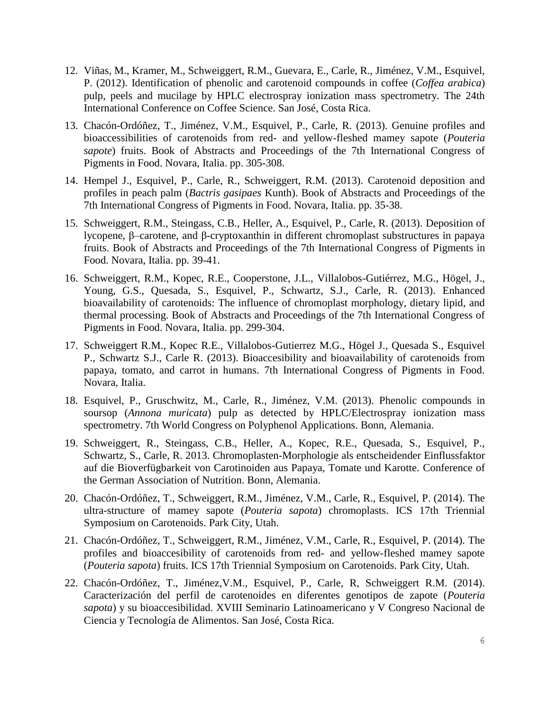- 12. Viñas, M., Kramer, M., Schweiggert, R.M., Guevara, E., Carle, R., Jiménez, V.M., Esquivel, P. (2012). Identification of phenolic and carotenoid compounds in coffee (*Coffea arabica*) pulp, peels and mucilage by HPLC electrospray ionization mass spectrometry. The 24th International Conference on Coffee Science. San José, Costa Rica.
- 13. Chacón-Ordóñez, T., Jiménez, V.M., Esquivel, P., Carle, R. (2013). Genuine profiles and bioaccessibilities of carotenoids from red- and yellow-fleshed mamey sapote (*Pouteria sapote*) fruits. Book of Abstracts and Proceedings of the 7th International Congress of Pigments in Food. Novara, Italia. pp. 305-308.
- 14. Hempel J., Esquivel, P., Carle, R., Schweiggert, R.M. (2013). Carotenoid deposition and profiles in peach palm (*Bactris gasipaes* Kunth). Book of Abstracts and Proceedings of the 7th International Congress of Pigments in Food. Novara, Italia. pp. 35-38.
- 15. Schweiggert, R.M., Steingass, C.B., Heller, A., Esquivel, P., Carle, R. (2013). Deposition of lycopene, β–carotene, and β-cryptoxanthin in different chromoplast substructures in papaya fruits. Book of Abstracts and Proceedings of the 7th International Congress of Pigments in Food. Novara, Italia. pp. 39-41.
- 16. Schweiggert, R.M., Kopec, R.E., Cooperstone, J.L., Villalobos-Gutiérrez, M.G., Högel, J., Young, G.S., Quesada, S., Esquivel, P., Schwartz, S.J., Carle, R. (2013). Enhanced bioavailability of carotenoids: The influence of chromoplast morphology, dietary lipid, and thermal processing. Book of Abstracts and Proceedings of the 7th International Congress of Pigments in Food. Novara, Italia. pp. 299-304.
- 17. Schweiggert R.M., Kopec R.E., Villalobos-Gutierrez M.G., Högel J., Quesada S., Esquivel P., Schwartz S.J., Carle R. (2013). Bioaccesibility and bioavailability of carotenoids from papaya, tomato, and carrot in humans. 7th International Congress of Pigments in Food. Novara, Italia.
- 18. Esquivel, P., Gruschwitz, M., Carle, R., Jiménez, V.M. (2013). Phenolic compounds in soursop (*Annona muricata*) pulp as detected by HPLC/Electrospray ionization mass spectrometry. 7th World Congress on Polyphenol Applications. Bonn, Alemania.
- 19. Schweiggert, R., Steingass, C.B., Heller, A., Kopec, R.E., Quesada, S., Esquivel, P., Schwartz, S., Carle, R. 2013. Chromoplasten-Morphologie als entscheidender Einflussfaktor auf die Bioverfügbarkeit von Carotinoiden aus Papaya, Tomate und Karotte. Conference of the German Association of Nutrition. Bonn, Alemania.
- 20. Chacón-Ordóñez, T., Schweiggert, R.M., Jiménez, V.M., Carle, R., Esquivel, P. (2014). The ultra-structure of mamey sapote (*Pouteria sapota*) chromoplasts. ICS 17th Triennial Symposium on Carotenoids. Park City, Utah.
- 21. Chacón-Ordóñez, T., Schweiggert, R.M., Jiménez, V.M., Carle, R., Esquivel, P. (2014). The profiles and bioaccesibility of carotenoids from red- and yellow-fleshed mamey sapote (*Pouteria sapota*) fruits. ICS 17th Triennial Symposium on Carotenoids. Park City, Utah.
- 22. Chacón-Ordóñez, T., Jiménez,V.M., Esquivel, P., Carle, R, Schweiggert R.M. (2014). Caracterización del perfil de carotenoides en diferentes genotipos de zapote (*Pouteria sapota*) y su bioaccesibilidad. XVIII Seminario Latinoamericano y V Congreso Nacional de Ciencia y Tecnología de Alimentos. San José, Costa Rica.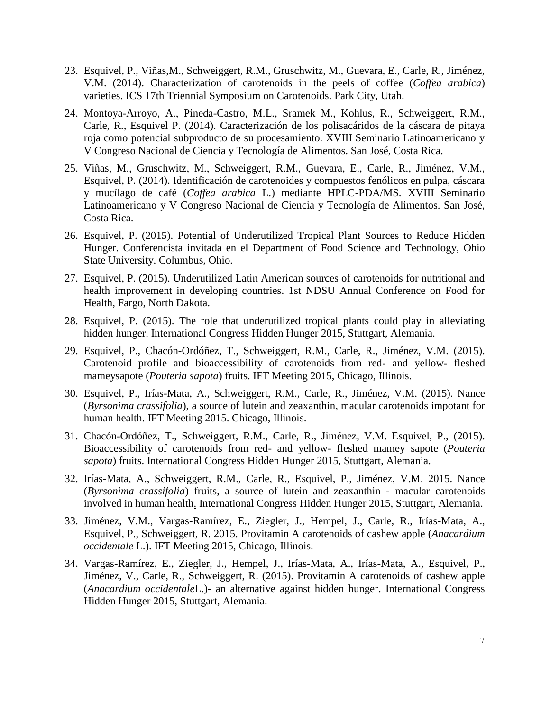- 23. Esquivel, P., Viñas,M., Schweiggert, R.M., Gruschwitz, M., Guevara, E., Carle, R., Jiménez, V.M. (2014). Characterization of carotenoids in the peels of coffee (*Coffea arabica*) varieties. ICS 17th Triennial Symposium on Carotenoids. Park City, Utah.
- 24. Montoya-Arroyo, A., Pineda-Castro, M.L., Sramek M., Kohlus, R., Schweiggert, R.M., Carle, R., Esquivel P. (2014). Caracterización de los polisacáridos de la cáscara de pitaya roja como potencial subproducto de su procesamiento. XVIII Seminario Latinoamericano y V Congreso Nacional de Ciencia y Tecnología de Alimentos. San José, Costa Rica.
- 25. Viñas, M., Gruschwitz, M., Schweiggert, R.M., Guevara, E., Carle, R., Jiménez, V.M., Esquivel, P. (2014). Identificación de carotenoides y compuestos fenólicos en pulpa, cáscara y mucílago de café (*Coffea arabica* L.) mediante HPLC-PDA/MS. XVIII Seminario Latinoamericano y V Congreso Nacional de Ciencia y Tecnología de Alimentos. San José, Costa Rica.
- 26. Esquivel, P. (2015). Potential of Underutilized Tropical Plant Sources to Reduce Hidden Hunger. Conferencista invitada en el Department of Food Science and Technology, Ohio State University. Columbus, Ohio.
- 27. Esquivel, P. (2015). Underutilized Latin American sources of carotenoids for nutritional and health improvement in developing countries. 1st NDSU Annual Conference on Food for Health, Fargo, North Dakota.
- 28. Esquivel, P. (2015). The role that underutilized tropical plants could play in alleviating hidden hunger. International Congress Hidden Hunger 2015, Stuttgart, Alemania.
- 29. Esquivel, P., Chacón-Ordóñez, T., Schweiggert, R.M., Carle, R., Jiménez, V.M. (2015). Carotenoid profile and bioaccessibility of carotenoids from red- and yellow- fleshed mameysapote (*Pouteria sapota*) fruits. IFT Meeting 2015, Chicago, Illinois.
- 30. Esquivel, P., Irías-Mata, A., Schweiggert, R.M., Carle, R., Jiménez, V.M. (2015). Nance (*Byrsonima crassifolia*), a source of lutein and zeaxanthin, macular carotenoids impotant for human health. IFT Meeting 2015. Chicago, Illinois.
- 31. Chacón-Ordóñez, T., Schweiggert, R.M., Carle, R., Jiménez, V.M. Esquivel, P., (2015). Bioaccessibility of carotenoids from red- and yellow- fleshed mamey sapote (*Pouteria sapota*) fruits. International Congress Hidden Hunger 2015, Stuttgart, Alemania.
- 32. Irías-Mata, A., Schweiggert, R.M., Carle, R., Esquivel, P., Jiménez, V.M. 2015. Nance (*Byrsonima crassifolia*) fruits, a source of lutein and zeaxanthin - macular carotenoids involved in human health. International Congress Hidden Hunger 2015, Stuttgart, Alemania.
- 33. Jiménez, V.M., Vargas-Ramírez, E., Ziegler, J., Hempel, J., Carle, R., Irías-Mata, A., Esquivel, P., Schweiggert, R. 2015. Provitamin A carotenoids of cashew apple (*Anacardium occidentale* L.). IFT Meeting 2015, Chicago, Illinois.
- 34. Vargas-Ramírez, E., Ziegler, J., Hempel, J., Irías-Mata, A., Irías-Mata, A., Esquivel, P., Jiménez, V., Carle, R., Schweiggert, R. (2015). Provitamin A carotenoids of cashew apple (*Anacardium occidentale*L.)- an alternative against hidden hunger. International Congress Hidden Hunger 2015, Stuttgart, Alemania.